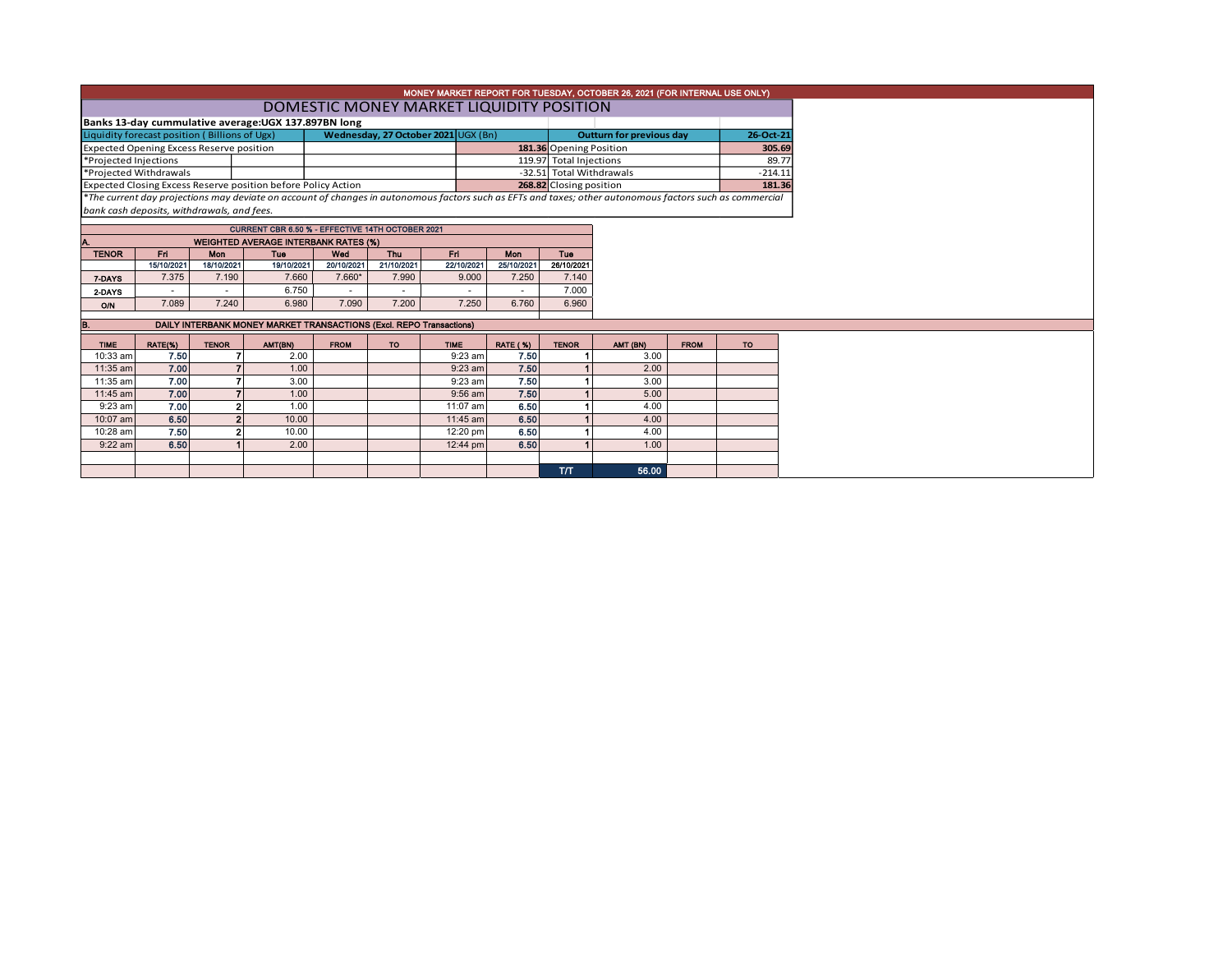| MONEY MARKET REPORT FOR TUESDAY, OCTOBER 26, 2021 (FOR INTERNAL USE ONLY) |  |                                     |  |                         |                                 |           |  |  |  |  |  |  |
|---------------------------------------------------------------------------|--|-------------------------------------|--|-------------------------|---------------------------------|-----------|--|--|--|--|--|--|
| DOMESTIC MONEY MARKET LIQUIDITY POSITION                                  |  |                                     |  |                         |                                 |           |  |  |  |  |  |  |
| Banks 13-day cummulative average: UGX 137.897BN long                      |  |                                     |  |                         |                                 |           |  |  |  |  |  |  |
| Liquidity forecast position (Billions of Ugx)                             |  | Wednesday, 27 October 2021 UGX (Bn) |  |                         | <b>Outturn for previous day</b> | 26-Oct-21 |  |  |  |  |  |  |
| Expected Opening Excess Reserve position                                  |  |                                     |  | 181.36 Opening Position | 305.69                          |           |  |  |  |  |  |  |
| Projected Injections                                                      |  |                                     |  | 119.97 Total Injections |                                 | 89.77     |  |  |  |  |  |  |
|                                                                           |  |                                     |  |                         |                                 |           |  |  |  |  |  |  |

\*Projected Withdrawals -32.51 Total Withdrawals -214.11 Expected Closing Excess Reserve position before Policy Action **181.36 CLOSE 1998 22 EXCL**Closing position 181.36<br>\*The current day projections may deviate on account of changes in autonomous factors such as teTs and taxes; *bank cash deposits, withdrawals, and fees.*

| CURRENT CBR 6.50 % - EFFECTIVE 14TH OCTOBER 2021  |            |            |            |            |                          |            |            |            |  |  |  |  |  |  |
|---------------------------------------------------|------------|------------|------------|------------|--------------------------|------------|------------|------------|--|--|--|--|--|--|
| <b>WEIGHTED AVERAGE INTERBANK RATES (%)</b><br>Α. |            |            |            |            |                          |            |            |            |  |  |  |  |  |  |
| <b>TENOR</b>                                      | Fri        | Mon        | Tue        | Wed        | Thu                      | Fri        | Mon        | Tue        |  |  |  |  |  |  |
|                                                   | 15/10/2021 | 18/10/2021 | 19/10/2021 | 20/10/2021 | 21/10/2021               | 22/10/2021 | 25/10/2021 | 26/10/2021 |  |  |  |  |  |  |
| 7-DAYS                                            | 7.375      | 7.190      | 7.660      | $7.660*$   | 7.990                    | 9.000      | 7.250      | 7.140      |  |  |  |  |  |  |
| 2 DAYS                                            |            |            | 6.750      |            | $\overline{\phantom{a}}$ |            |            | 7.000      |  |  |  |  |  |  |
| O/N                                               | 7.089      | 7.240      | 6.980      | 7.090      | 7.200                    | 7.250      | 6.760      | 6.960      |  |  |  |  |  |  |

| DAILY INTERBANK MONEY MARKET TRANSACTIONS (Excl. REPO Transactions)<br>В. |         |              |         |             |           |             |                 |              |          |             |           |  |
|---------------------------------------------------------------------------|---------|--------------|---------|-------------|-----------|-------------|-----------------|--------------|----------|-------------|-----------|--|
| <b>TIME</b>                                                               | RATE(%) | <b>TENOR</b> | AMT(BN) | <b>FROM</b> | <b>TO</b> | <b>TIME</b> | <b>RATE (%)</b> | <b>TENOR</b> | AMT (BN) | <b>FROM</b> | <b>TO</b> |  |
| $10:33$ am                                                                | 7.50    |              | 2.00    |             |           | $9:23$ am   | 7.50            |              | 3.00     |             |           |  |
| 11:35 am                                                                  | 7.00    |              | 1.00    |             |           | $9:23$ am   | 7.50            |              | 2.00     |             |           |  |
| 11:35 am                                                                  | 7.00    |              | 3.00    |             |           | $9:23$ am   | 7.50            |              | 3.00     |             |           |  |
| $11:45$ am                                                                | 7.00    |              | 1.00    |             |           | $9:56$ am   | 7.50            |              | 5.00     |             |           |  |
| $9:23$ am                                                                 | 7.00    |              | 1.00    |             |           | 11:07 am    | 6.50            |              | 4.00     |             |           |  |
| 10:07 am                                                                  | 6.50    |              | 10.00   |             |           | $11:45$ am  | 6.50            |              | 4.00     |             |           |  |
| 10:28 am                                                                  | 7.50    |              | 10.00   |             |           | 12:20 pm    | 6.50            |              | 4.00     |             |           |  |
| $9:22$ am                                                                 | 6.50    |              | 2.00    |             |           | 12:44 pm    | 6.50            |              | 1.00     |             |           |  |
|                                                                           |         |              |         |             |           |             |                 |              |          |             |           |  |
|                                                                           |         |              |         |             |           |             |                 | тл           | 56.00    |             |           |  |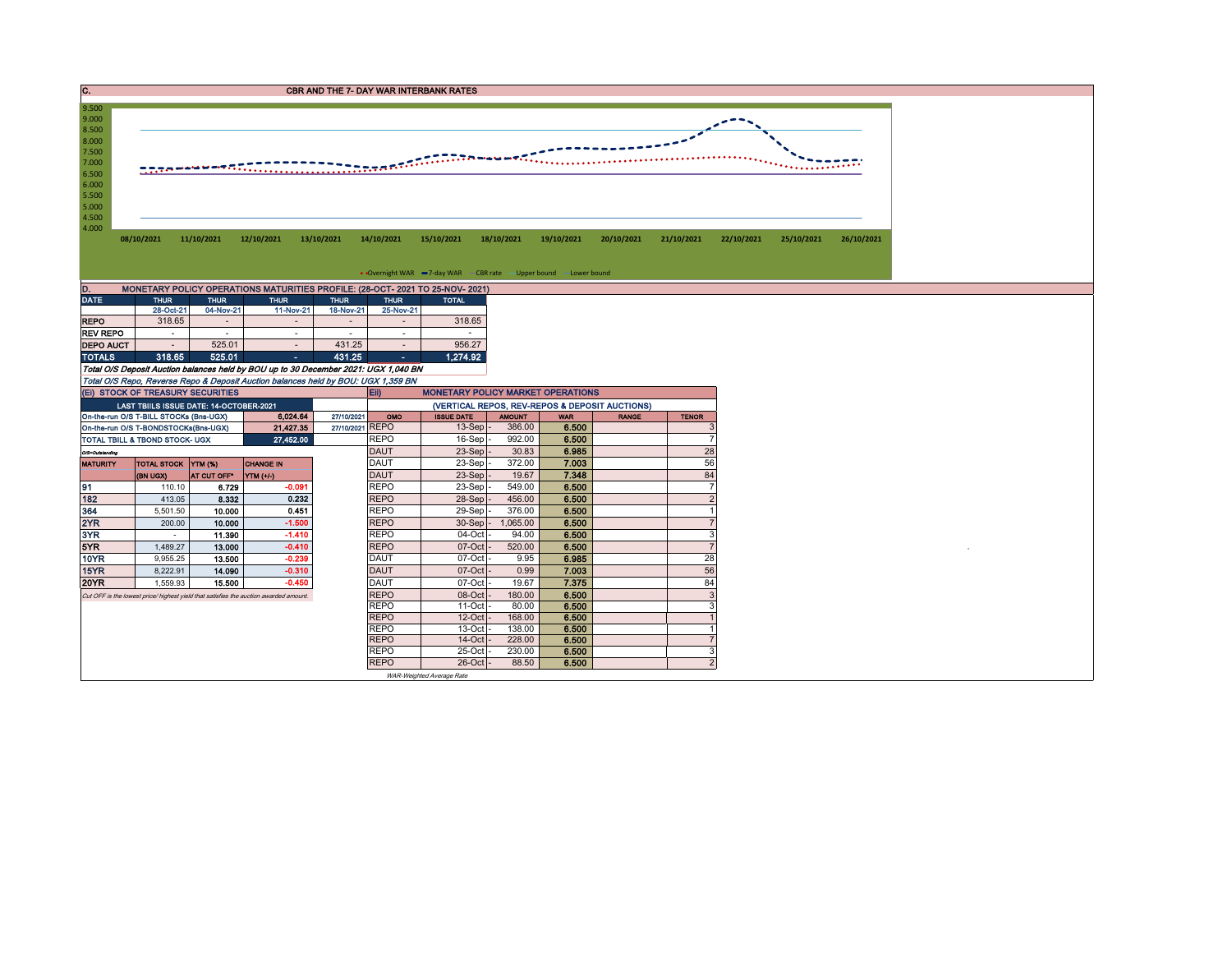| . . | <b>CBR AND THE 7- DAY WAR INTERBANK RATES</b> |
|-----|-----------------------------------------------|
|     |                                               |



| DAIL             | THUR.     | THUR.     | THUR           | THUR           | THUR.      | TOTAL    |
|------------------|-----------|-----------|----------------|----------------|------------|----------|
|                  | 28-Oct-21 | 04-Nov-21 | 11-Nov-21      | 18-Nov-21      | 25-Nov-21  |          |
| <b>REPO</b>      | 318.65    | -         | $\blacksquare$ | $\blacksquare$ |            | 318.65   |
| <b>REV REPO</b>  | ۰         |           |                | ۰              | ۰          | ٠        |
| <b>DEPO AUCT</b> | ۰         | 525.01    | $\blacksquare$ | 431.25         |            | 956.27   |
| <b>TOTALS</b>    | 318.65    | 525.01    | ۰              | 431.25         | $\epsilon$ | 1.274.92 |

Total O/S Deposit Auction balances held by BOU up to 30 December 2021: UGX 1,040 BN

Total O/S Repo, Reverse Repo & Deposit Auction balances held by BOU: UGX 1,359 BN

| (EI) STOCK OF TREASURY SECURITIES |                                         |                    |                                                                                       |                 | <b>IEID</b>                                    | <b>MONETARY POLICY MARKET OPERATIONS</b> |               |            |              |              |  |  |
|-----------------------------------|-----------------------------------------|--------------------|---------------------------------------------------------------------------------------|-----------------|------------------------------------------------|------------------------------------------|---------------|------------|--------------|--------------|--|--|
|                                   | LAST TBIILS ISSUE DATE: 14-OCTOBER-2021 |                    |                                                                                       |                 | (VERTICAL REPOS, REV-REPOS & DEPOSIT AUCTIONS) |                                          |               |            |              |              |  |  |
|                                   | On-the-run O/S T-BILL STOCKs (Bns-UGX)  |                    | 6.024.64                                                                              | 27/10/2021      | OMO                                            | <b>ISSUE DATE</b>                        | <b>AMOUNT</b> | <b>WAR</b> | <b>RANGE</b> | <b>TENOR</b> |  |  |
|                                   | On-the-run O/S T-BONDSTOCKs(Bns-UGX)    |                    | 21.427.35                                                                             | 27/10/2021 REPO |                                                | $13-Sep$ .                               | 386.00        | 6.500      |              |              |  |  |
|                                   | TOTAL TBILL & TBOND STOCK- UGX          |                    | 27,452.00                                                                             |                 | <b>REPO</b>                                    | $16-Sep$                                 | 992.00        | 6.500      |              |              |  |  |
| O/S=Outstanding                   |                                         |                    |                                                                                       |                 | <b>DAUT</b>                                    | $23-Sep$ .                               | 30.83         | 6.985      |              | 28           |  |  |
| <b>MATURITY</b>                   | TOTAL STOCK YTM (%)                     |                    | <b>CHANGE IN</b>                                                                      |                 | <b>DAUT</b>                                    | $23-Sep$ -                               | 372.00        | 7.003      |              | 56           |  |  |
|                                   | <b>(BN UGX)</b>                         | <b>AT CUT OFF'</b> | YTM (+/-)                                                                             |                 | <b>DAUT</b>                                    | $23-Sep$ -                               | 19.67         | 7.348      |              | 84           |  |  |
| 91                                | 110.10                                  | 6.729              | $-0.091$                                                                              |                 | <b>REPO</b>                                    | $23-Sep$                                 | 549.00        | 6.500      |              |              |  |  |
| 182                               | 413.05                                  | 8.332              | 0.232                                                                                 |                 | <b>REPO</b>                                    | $28-Sep$ .                               | 456.00        | 6.500      |              |              |  |  |
| 364                               | 5,501.50                                | 10.000             | 0.451                                                                                 |                 | <b>REPO</b>                                    | 29-Sep                                   | 376.00        | 6.500      |              |              |  |  |
| 2YR                               | 200.00                                  | 10.000             | $-1.500$                                                                              |                 | <b>REPO</b>                                    | $30-Sep$ -                               | 1,065.00      | 6.500      |              |              |  |  |
| 3YR                               |                                         | 11.390             | $-1.410$                                                                              |                 | <b>REPO</b>                                    | $04$ -Oct $\cdot$                        | 94.00         | 6.500      |              |              |  |  |
| 5YR.                              | 1.489.27                                | 13.000             | $-0.410$                                                                              |                 | <b>REPO</b>                                    | $07$ -Oct                                | 520.00        | 6.500      |              |              |  |  |
| 10YR                              | 9.955.25                                | 13.500             | $-0.239$                                                                              |                 | <b>DAUT</b>                                    | $07$ -Oct                                | 9.95          | 6.985      |              | 28           |  |  |
| 15YR                              | 8,222.91                                | 14.090             | $-0.310$                                                                              |                 | <b>DAUT</b>                                    | 07-Oct                                   | 0.99          | 7.003      |              | 56           |  |  |
| 20YR                              | 1.559.93                                | 15,500             | $-0.450$                                                                              |                 | <b>DAUT</b>                                    | 07-Oct                                   | 19.67         | 7.375      |              | 84           |  |  |
|                                   |                                         |                    | Cut OFF is the lowest price/ highest yield that satisfies the auction awarded amount. |                 | <b>REPO</b>                                    | $08$ -Oct                                | 180.00        | 6.500      |              |              |  |  |
|                                   |                                         |                    |                                                                                       |                 | <b>REPO</b>                                    | $11-Oct$                                 | 80.00         | 6.500      |              |              |  |  |
|                                   |                                         |                    |                                                                                       |                 | <b>REPO</b>                                    | $12$ -Oct                                | 168.00        | 6.500      |              |              |  |  |
|                                   |                                         |                    |                                                                                       |                 | <b>REPO</b>                                    | $13$ -Oct                                | 138.00        | 6.500      |              |              |  |  |
|                                   |                                         |                    |                                                                                       |                 | <b>REPO</b>                                    | $14$ -Oct                                | 228.00        | 6.500      |              |              |  |  |
|                                   |                                         |                    |                                                                                       |                 | <b>REPO</b>                                    | $25$ -Oct                                | 230.00        | 6.500      |              |              |  |  |
|                                   |                                         |                    |                                                                                       |                 | <b>REPO</b>                                    | $26$ -Oct $-$                            | 88.50         | 6.500      |              |              |  |  |
|                                   |                                         |                    |                                                                                       |                 |                                                | WAR-Weighted Average Rate                |               |            |              |              |  |  |